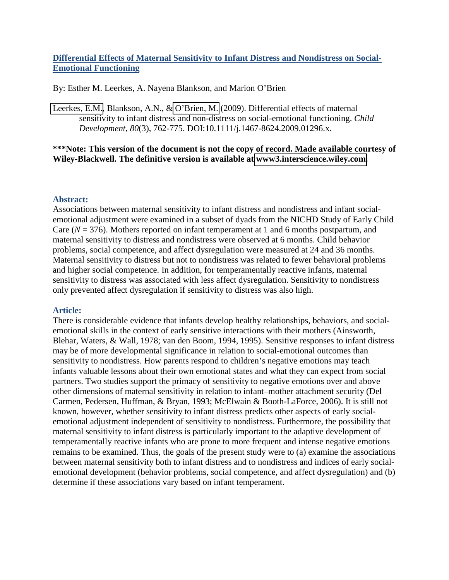# **Differential Effects of Maternal Sensitivity to Infant Distress and Nondistress on Social-Emotional Functioning**

By: Esther M. Leerkes, A. Nayena Blankson, and Marion O'Brien

[Leerkes, E.M.,](http://libres.uncg.edu/ir/clist.aspx?id=1186) Blankson, A.N., & [O'Brien, M.](http://libres.uncg.edu/ir/clist.aspx?id=1332) (2009). Differential effects of maternal sensitivity to infant distress and non-distress on social-emotional functioning. *Child Development, 80*(3), 762-775. DOI:10.1111/j.1467-8624.2009.01296.x.

# **\*\*\*Note: This version of the document is not the copy of record. Made available courtesy of Wiley-Blackwell. The definitive version is available at [www3.interscience.wiley.com.](www3.interscience.wiley.com)**

### **Abstract:**

Associations between maternal sensitivity to infant distress and nondistress and infant socialemotional adjustment were examined in a subset of dyads from the NICHD Study of Early Child Care  $(N = 376)$ . Mothers reported on infant temperament at 1 and 6 months postpartum, and maternal sensitivity to distress and nondistress were observed at 6 months. Child behavior problems, social competence, and affect dysregulation were measured at 24 and 36 months. Maternal sensitivity to distress but not to nondistress was related to fewer behavioral problems and higher social competence. In addition, for temperamentally reactive infants, maternal sensitivity to distress was associated with less affect dysregulation. Sensitivity to nondistress only prevented affect dysregulation if sensitivity to distress was also high.

## **Article:**

There is considerable evidence that infants develop healthy relationships, behaviors, and socialemotional skills in the context of early sensitive interactions with their mothers (Ainsworth, Blehar, Waters, & Wall, 1978; van den Boom, 1994, 1995). Sensitive responses to infant distress may be of more developmental significance in relation to social-emotional outcomes than sensitivity to nondistress. How parents respond to children's negative emotions may teach infants valuable lessons about their own emotional states and what they can expect from social partners. Two studies support the primacy of sensitivity to negative emotions over and above other dimensions of maternal sensitivity in relation to infant–mother attachment security (Del Carmen, Pedersen, Huffman, & Bryan, 1993; McElwain & Booth-LaForce, 2006). It is still not known, however, whether sensitivity to infant distress predicts other aspects of early socialemotional adjustment independent of sensitivity to nondistress. Furthermore, the possibility that maternal sensitivity to infant distress is particularly important to the adaptive development of temperamentally reactive infants who are prone to more frequent and intense negative emotions remains to be examined. Thus, the goals of the present study were to (a) examine the associations between maternal sensitivity both to infant distress and to nondistress and indices of early socialemotional development (behavior problems, social competence, and affect dysregulation) and (b) determine if these associations vary based on infant temperament.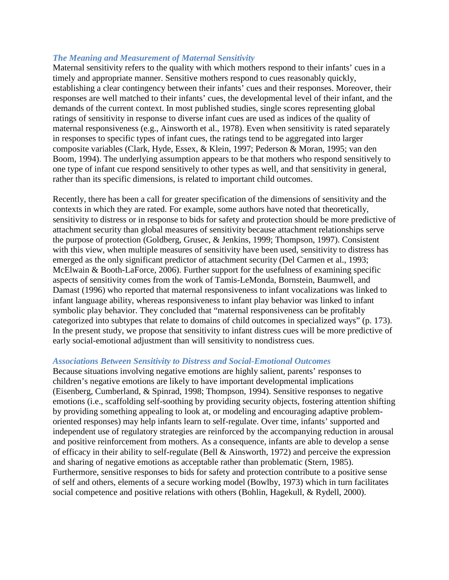### *The Meaning and Measurement of Maternal Sensitivity*

Maternal sensitivity refers to the quality with which mothers respond to their infants' cues in a timely and appropriate manner. Sensitive mothers respond to cues reasonably quickly, establishing a clear contingency between their infants' cues and their responses. Moreover, their responses are well matched to their infants' cues, the developmental level of their infant, and the demands of the current context. In most published studies, single scores representing global ratings of sensitivity in response to diverse infant cues are used as indices of the quality of maternal responsiveness (e.g., Ainsworth et al., 1978). Even when sensitivity is rated separately in responses to specific types of infant cues, the ratings tend to be aggregated into larger composite variables (Clark, Hyde, Essex, & Klein, 1997; Pederson & Moran, 1995; van den Boom, 1994). The underlying assumption appears to be that mothers who respond sensitively to one type of infant cue respond sensitively to other types as well, and that sensitivity in general, rather than its specific dimensions, is related to important child outcomes.

Recently, there has been a call for greater specification of the dimensions of sensitivity and the contexts in which they are rated. For example, some authors have noted that theoretically, sensitivity to distress or in response to bids for safety and protection should be more predictive of attachment security than global measures of sensitivity because attachment relationships serve the purpose of protection (Goldberg, Grusec, & Jenkins, 1999; Thompson, 1997). Consistent with this view, when multiple measures of sensitivity have been used, sensitivity to distress has emerged as the only significant predictor of attachment security (Del Carmen et al., 1993; McElwain & Booth-LaForce, 2006). Further support for the usefulness of examining specific aspects of sensitivity comes from the work of Tamis-LeMonda, Bornstein, Baumwell, and Damast (1996) who reported that maternal responsiveness to infant vocalizations was linked to infant language ability, whereas responsiveness to infant play behavior was linked to infant symbolic play behavior. They concluded that "maternal responsiveness can be profitably categorized into subtypes that relate to domains of child outcomes in specialized ways" (p. 173). In the present study, we propose that sensitivity to infant distress cues will be more predictive of early social-emotional adjustment than will sensitivity to nondistress cues.

#### *Associations Between Sensitivity to Distress and Social-Emotional Outcomes*

Because situations involving negative emotions are highly salient, parents' responses to children's negative emotions are likely to have important developmental implications (Eisenberg, Cumberland, & Spinrad, 1998; Thompson, 1994). Sensitive responses to negative emotions (i.e., scaffolding self-soothing by providing security objects, fostering attention shifting by providing something appealing to look at, or modeling and encouraging adaptive problemoriented responses) may help infants learn to self-regulate. Over time, infants' supported and independent use of regulatory strategies are reinforced by the accompanying reduction in arousal and positive reinforcement from mothers. As a consequence, infants are able to develop a sense of efficacy in their ability to self-regulate (Bell & Ainsworth, 1972) and perceive the expression and sharing of negative emotions as acceptable rather than problematic (Stern, 1985). Furthermore, sensitive responses to bids for safety and protection contribute to a positive sense of self and others, elements of a secure working model (Bowlby, 1973) which in turn facilitates social competence and positive relations with others (Bohlin, Hagekull, & Rydell, 2000).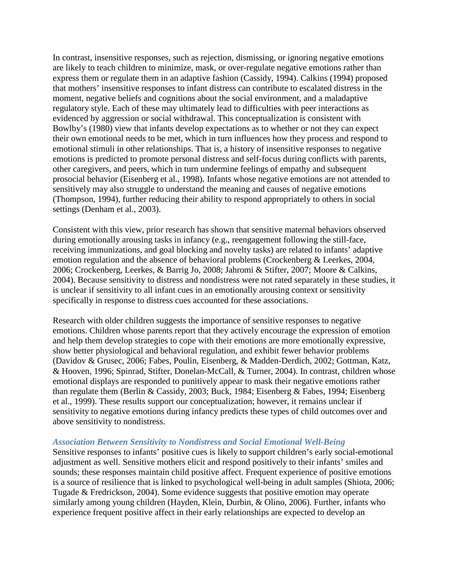In contrast, insensitive responses, such as rejection, dismissing, or ignoring negative emotions are likely to teach children to minimize, mask, or over-regulate negative emotions rather than express them or regulate them in an adaptive fashion (Cassidy, 1994). Calkins (1994) proposed that mothers' insensitive responses to infant distress can contribute to escalated distress in the moment, negative beliefs and cognitions about the social environment, and a maladaptive regulatory style. Each of these may ultimately lead to difficulties with peer interactions as evidenced by aggression or social withdrawal. This conceptualization is consistent with Bowlby's (1980) view that infants develop expectations as to whether or not they can expect their own emotional needs to be met, which in turn influences how they process and respond to emotional stimuli in other relationships. That is, a history of insensitive responses to negative emotions is predicted to promote personal distress and self-focus during conflicts with parents, other caregivers, and peers, which in turn undermine feelings of empathy and subsequent prosocial behavior (Eisenberg et al., 1998). Infants whose negative emotions are not attended to sensitively may also struggle to understand the meaning and causes of negative emotions (Thompson, 1994), further reducing their ability to respond appropriately to others in social settings (Denham et al., 2003).

Consistent with this view, prior research has shown that sensitive maternal behaviors observed during emotionally arousing tasks in infancy (e.g., reengagement following the still-face, receiving immunizations, and goal blocking and novelty tasks) are related to infants' adaptive emotion regulation and the absence of behavioral problems (Crockenberg & Leerkes, 2004, 2006; Crockenberg, Leerkes, & Barrig Jo, 2008; Jahromi & Stifter, 2007; Moore & Calkins, 2004). Because sensitivity to distress and nondistress were not rated separately in these studies, it is unclear if sensitivity to all infant cues in an emotionally arousing context or sensitivity specifically in response to distress cues accounted for these associations.

Research with older children suggests the importance of sensitive responses to negative emotions. Children whose parents report that they actively encourage the expression of emotion and help them develop strategies to cope with their emotions are more emotionally expressive, show better physiological and behavioral regulation, and exhibit fewer behavior problems (Davidov & Grusec, 2006; Fabes, Poulin, Eisenberg, & Madden-Derdich, 2002; Gottman, Katz, & Hooven, 1996; Spinrad, Stifter, Donelan-McCall, & Turner, 2004). In contrast, children whose emotional displays are responded to punitively appear to mask their negative emotions rather than regulate them (Berlin & Cassidy, 2003; Buck, 1984; Eisenberg & Fabes, 1994; Eisenberg et al., 1999). These results support our conceptualization; however, it remains unclear if sensitivity to negative emotions during infancy predicts these types of child outcomes over and above sensitivity to nondistress.

#### *Association Between Sensitivity to Nondistress and Social Emotional Well-Being*

Sensitive responses to infants' positive cues is likely to support children's early social-emotional adjustment as well. Sensitive mothers elicit and respond positively to their infants' smiles and sounds; these responses maintain child positive affect. Frequent experience of positive emotions is a source of resilience that is linked to psychological well-being in adult samples (Shiota, 2006; Tugade & Fredrickson, 2004). Some evidence suggests that positive emotion may operate similarly among young children (Hayden, Klein, Durbin, & Olino, 2006). Further, infants who experience frequent positive affect in their early relationships are expected to develop an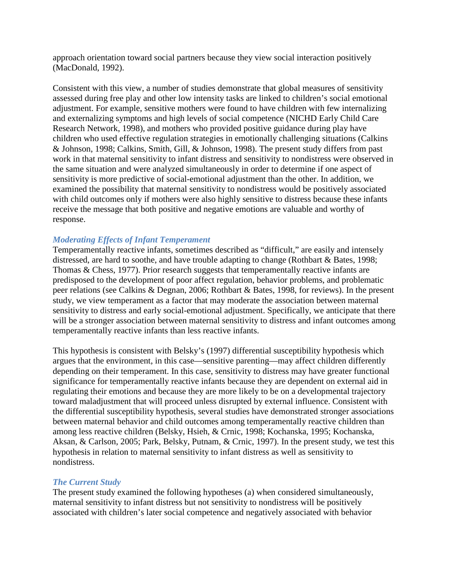approach orientation toward social partners because they view social interaction positively (MacDonald, 1992).

Consistent with this view, a number of studies demonstrate that global measures of sensitivity assessed during free play and other low intensity tasks are linked to children's social emotional adjustment. For example, sensitive mothers were found to have children with few internalizing and externalizing symptoms and high levels of social competence (NICHD Early Child Care Research Network, 1998), and mothers who provided positive guidance during play have children who used effective regulation strategies in emotionally challenging situations (Calkins & Johnson, 1998; Calkins, Smith, Gill, & Johnson, 1998). The present study differs from past work in that maternal sensitivity to infant distress and sensitivity to nondistress were observed in the same situation and were analyzed simultaneously in order to determine if one aspect of sensitivity is more predictive of social-emotional adjustment than the other. In addition, we examined the possibility that maternal sensitivity to nondistress would be positively associated with child outcomes only if mothers were also highly sensitive to distress because these infants receive the message that both positive and negative emotions are valuable and worthy of response.

## *Moderating Effects of Infant Temperament*

Temperamentally reactive infants, sometimes described as "difficult," are easily and intensely distressed, are hard to soothe, and have trouble adapting to change (Rothbart & Bates, 1998; Thomas & Chess, 1977). Prior research suggests that temperamentally reactive infants are predisposed to the development of poor affect regulation, behavior problems, and problematic peer relations (see Calkins & Degnan, 2006; Rothbart & Bates, 1998, for reviews). In the present study, we view temperament as a factor that may moderate the association between maternal sensitivity to distress and early social-emotional adjustment. Specifically, we anticipate that there will be a stronger association between maternal sensitivity to distress and infant outcomes among temperamentally reactive infants than less reactive infants.

This hypothesis is consistent with Belsky's (1997) differential susceptibility hypothesis which argues that the environment, in this case—sensitive parenting—may affect children differently depending on their temperament. In this case, sensitivity to distress may have greater functional significance for temperamentally reactive infants because they are dependent on external aid in regulating their emotions and because they are more likely to be on a developmental trajectory toward maladjustment that will proceed unless disrupted by external influence. Consistent with the differential susceptibility hypothesis, several studies have demonstrated stronger associations between maternal behavior and child outcomes among temperamentally reactive children than among less reactive children (Belsky, Hsieh, & Crnic, 1998; Kochanska, 1995; Kochanska, Aksan, & Carlson, 2005; Park, Belsky, Putnam, & Crnic, 1997). In the present study, we test this hypothesis in relation to maternal sensitivity to infant distress as well as sensitivity to nondistress.

#### *The Current Study*

The present study examined the following hypotheses (a) when considered simultaneously, maternal sensitivity to infant distress but not sensitivity to nondistress will be positively associated with children's later social competence and negatively associated with behavior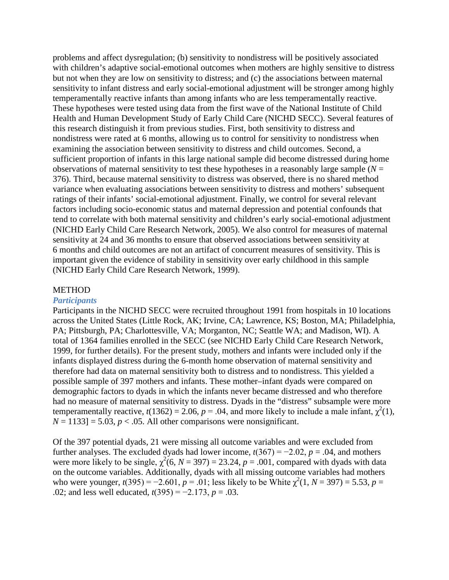problems and affect dysregulation; (b) sensitivity to nondistress will be positively associated with children's adaptive social-emotional outcomes when mothers are highly sensitive to distress but not when they are low on sensitivity to distress; and (c) the associations between maternal sensitivity to infant distress and early social-emotional adjustment will be stronger among highly temperamentally reactive infants than among infants who are less temperamentally reactive. These hypotheses were tested using data from the first wave of the National Institute of Child Health and Human Development Study of Early Child Care (NICHD SECC). Several features of this research distinguish it from previous studies. First, both sensitivity to distress and nondistress were rated at 6 months, allowing us to control for sensitivity to nondistress when examining the association between sensitivity to distress and child outcomes. Second, a sufficient proportion of infants in this large national sample did become distressed during home observations of maternal sensitivity to test these hypotheses in a reasonably large sample  $(N =$ 376). Third, because maternal sensitivity to distress was observed, there is no shared method variance when evaluating associations between sensitivity to distress and mothers' subsequent ratings of their infants' social-emotional adjustment. Finally, we control for several relevant factors including socio-economic status and maternal depression and potential confounds that tend to correlate with both maternal sensitivity and children's early social-emotional adjustment (NICHD Early Child Care Research Network, 2005). We also control for measures of maternal sensitivity at 24 and 36 months to ensure that observed associations between sensitivity at 6 months and child outcomes are not an artifact of concurrent measures of sensitivity. This is important given the evidence of stability in sensitivity over early childhood in this sample (NICHD Early Child Care Research Network, 1999).

#### METHOD

#### *Participants*

Participants in the NICHD SECC were recruited throughout 1991 from hospitals in 10 locations across the United States (Little Rock, AK; Irvine, CA; Lawrence, KS; Boston, MA; Philadelphia, PA; Pittsburgh, PA; Charlottesville, VA; Morganton, NC; Seattle WA; and Madison, WI). A total of 1364 families enrolled in the SECC (see NICHD Early Child Care Research Network, 1999, for further details). For the present study, mothers and infants were included only if the infants displayed distress during the 6-month home observation of maternal sensitivity and therefore had data on maternal sensitivity both to distress and to nondistress. This yielded a possible sample of 397 mothers and infants. These mother–infant dyads were compared on demographic factors to dyads in which the infants never became distressed and who therefore had no measure of maternal sensitivity to distress. Dyads in the "distress" subsample were more temperamentally reactive,  $t(1362) = 2.06$ ,  $p = 0.04$ , and more likely to include a male infant,  $\chi^2(1)$ ,  $N = 1133$ ] = 5.03,  $p < .05$ . All other comparisons were nonsignificant.

Of the 397 potential dyads, 21 were missing all outcome variables and were excluded from further analyses. The excluded dyads had lower income,  $t(367) = -2.02$ ,  $p = .04$ , and mothers were more likely to be single,  $\chi^2(6, N = 397) = 23.24$ ,  $p = .001$ , compared with dyads with data on the outcome variables. Additionally, dyads with all missing outcome variables had mothers who were younger,  $t(395) = -2.601$ ,  $p = .01$ ; less likely to be White  $\chi^2(1, N = 397) = 5.53$ ,  $p =$ .02; and less well educated, *t*(395) = −2.173, *p* = .03.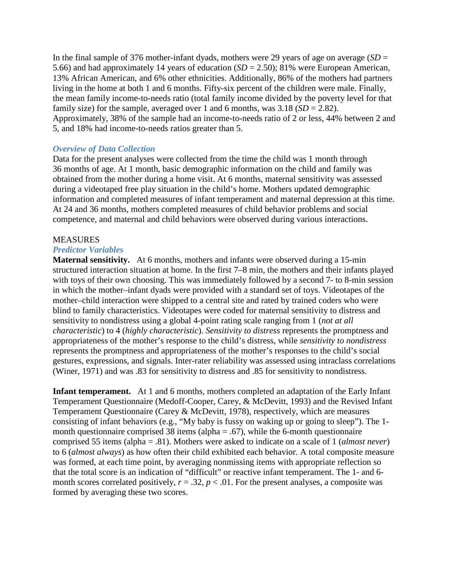In the final sample of 376 mother-infant dyads, mothers were 29 years of age on average  $(SD =$ 5.66) and had approximately 14 years of education  $(SD = 2.50)$ ; 81% were European American, 13% African American, and 6% other ethnicities. Additionally, 86% of the mothers had partners living in the home at both 1 and 6 months. Fifty-six percent of the children were male. Finally, the mean family income-to-needs ratio (total family income divided by the poverty level for that family size) for the sample, averaged over 1 and 6 months, was  $3.18$  (*SD* = 2.82). Approximately, 38% of the sample had an income-to-needs ratio of 2 or less, 44% between 2 and 5, and 18% had income-to-needs ratios greater than 5.

### *Overview of Data Collection*

Data for the present analyses were collected from the time the child was 1 month through 36 months of age. At 1 month, basic demographic information on the child and family was obtained from the mother during a home visit. At 6 months, maternal sensitivity was assessed during a videotaped free play situation in the child's home. Mothers updated demographic information and completed measures of infant temperament and maternal depression at this time. At 24 and 36 months, mothers completed measures of child behavior problems and social competence, and maternal and child behaviors were observed during various interactions.

## **MEASURES**

### *Predictor Variables*

**Maternal sensitivity.** At 6 months, mothers and infants were observed during a 15-min structured interaction situation at home. In the first 7–8 min, the mothers and their infants played with toys of their own choosing. This was immediately followed by a second 7- to 8-min session in which the mother–infant dyads were provided with a standard set of toys. Videotapes of the mother–child interaction were shipped to a central site and rated by trained coders who were blind to family characteristics. Videotapes were coded for maternal sensitivity to distress and sensitivity to nondistress using a global 4-point rating scale ranging from 1 (*not at all characteristic*) to 4 (*highly characteristic*). *Sensitivity to distress* represents the promptness and appropriateness of the mother's response to the child's distress, while *sensitivity to nondistress* represents the promptness and appropriateness of the mother's responses to the child's social gestures, expressions, and signals. Inter-rater reliability was assessed using intraclass correlations (Winer, 1971) and was .83 for sensitivity to distress and .85 for sensitivity to nondistress.

Infant temperament. At 1 and 6 months, mothers completed an adaptation of the Early Infant Temperament Questionnaire (Medoff-Cooper, Carey, & McDevitt, 1993) and the Revised Infant Temperament Questionnaire (Carey & McDevitt, 1978), respectively, which are measures consisting of infant behaviors (e.g., "My baby is fussy on waking up or going to sleep"). The 1 month questionnaire comprised  $38$  items (alpha = .67), while the 6-month questionnaire comprised 55 items (alpha = .81). Mothers were asked to indicate on a scale of 1 (*almost never*) to 6 (*almost always*) as how often their child exhibited each behavior. A total composite measure was formed, at each time point, by averaging nonmissing items with appropriate reflection so that the total score is an indication of "difficult" or reactive infant temperament. The 1- and 6 month scores correlated positively,  $r = .32$ ,  $p < .01$ . For the present analyses, a composite was formed by averaging these two scores.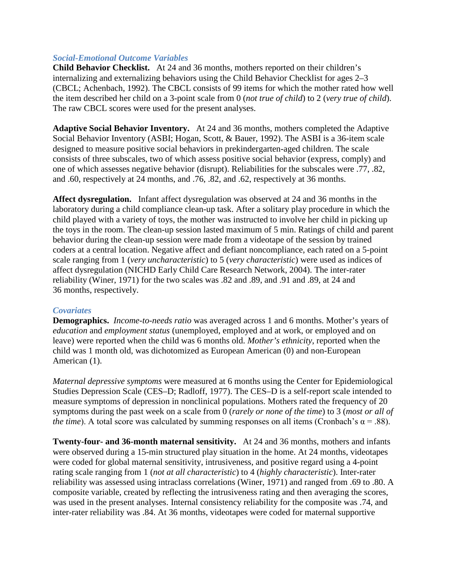## *Social-Emotional Outcome Variables*

**Child Behavior Checklist.** At 24 and 36 months, mothers reported on their children's internalizing and externalizing behaviors using the Child Behavior Checklist for ages 2–3 (CBCL; Achenbach, 1992). The CBCL consists of 99 items for which the mother rated how well the item described her child on a 3-point scale from 0 (*not true of child*) to 2 (*very true of child*). The raw CBCL scores were used for the present analyses.

**Adaptive Social Behavior Inventory.** At 24 and 36 months, mothers completed the Adaptive Social Behavior Inventory (ASBI; Hogan, Scott, & Bauer, 1992). The ASBI is a 36-item scale designed to measure positive social behaviors in prekindergarten-aged children. The scale consists of three subscales, two of which assess positive social behavior (express, comply) and one of which assesses negative behavior (disrupt). Reliabilities for the subscales were .77, .82, and .60, respectively at 24 months, and .76, .82, and .62, respectively at 36 months.

**Affect dysregulation.** Infant affect dysregulation was observed at 24 and 36 months in the laboratory during a child compliance clean-up task. After a solitary play procedure in which the child played with a variety of toys, the mother was instructed to involve her child in picking up the toys in the room. The clean-up session lasted maximum of 5 min. Ratings of child and parent behavior during the clean-up session were made from a videotape of the session by trained coders at a central location. Negative affect and defiant noncompliance, each rated on a 5-point scale ranging from 1 (*very uncharacteristic*) to 5 (*very characteristic*) were used as indices of affect dysregulation (NICHD Early Child Care Research Network, 2004). The inter-rater reliability (Winer, 1971) for the two scales was .82 and .89, and .91 and .89, at 24 and 36 months, respectively.

## *Covariates*

**Demographics.** *Income-to-needs ratio* was averaged across 1 and 6 months. Mother's years of *education* and *employment status* (unemployed, employed and at work, or employed and on leave) were reported when the child was 6 months old. *Mother's ethnicity*, reported when the child was 1 month old, was dichotomized as European American (0) and non-European American (1).

*Maternal depressive symptoms* were measured at 6 months using the Center for Epidemiological Studies Depression Scale (CES–D; Radloff, 1977). The CES–D is a self-report scale intended to measure symptoms of depression in nonclinical populations. Mothers rated the frequency of 20 symptoms during the past week on a scale from 0 (*rarely or none of the time*) to 3 (*most or all of the time*). A total score was calculated by summing responses on all items (Cronbach's  $\alpha$  = .88).

**Twenty-four- and 36-month maternal sensitivity.** At 24 and 36 months, mothers and infants were observed during a 15-min structured play situation in the home. At 24 months, videotapes were coded for global maternal sensitivity, intrusiveness, and positive regard using a 4-point rating scale ranging from 1 (*not at all characteristic*) to 4 (*highly characteristic*). Inter-rater reliability was assessed using intraclass correlations (Winer, 1971) and ranged from .69 to .80. A composite variable, created by reflecting the intrusiveness rating and then averaging the scores, was used in the present analyses. Internal consistency reliability for the composite was .74, and inter-rater reliability was .84. At 36 months, videotapes were coded for maternal supportive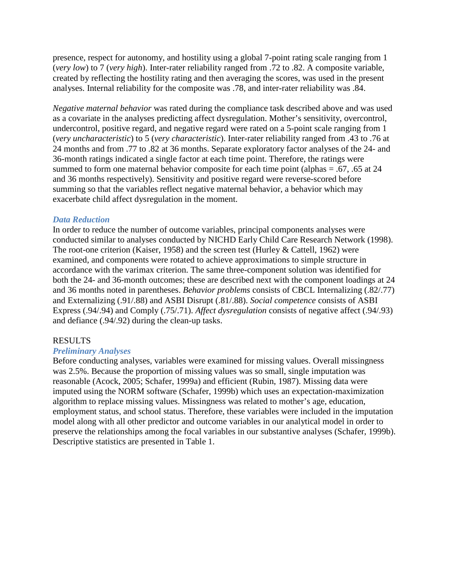presence, respect for autonomy, and hostility using a global 7-point rating scale ranging from 1 (*very low*) to 7 (*very high*). Inter-rater reliability ranged from .72 to .82. A composite variable, created by reflecting the hostility rating and then averaging the scores, was used in the present analyses. Internal reliability for the composite was .78, and inter-rater reliability was .84.

*Negative maternal behavior* was rated during the compliance task described above and was used as a covariate in the analyses predicting affect dysregulation. Mother's sensitivity, overcontrol, undercontrol, positive regard, and negative regard were rated on a 5-point scale ranging from 1 (*very uncharacteristic*) to 5 (*very characteristic*). Inter-rater reliability ranged from .43 to .76 at 24 months and from .77 to .82 at 36 months. Separate exploratory factor analyses of the 24- and 36-month ratings indicated a single factor at each time point. Therefore, the ratings were summed to form one maternal behavior composite for each time point (alphas = .67, .65 at 24 and 36 months respectively). Sensitivity and positive regard were reverse-scored before summing so that the variables reflect negative maternal behavior, a behavior which may exacerbate child affect dysregulation in the moment.

## *Data Reduction*

In order to reduce the number of outcome variables, principal components analyses were conducted similar to analyses conducted by NICHD Early Child Care Research Network (1998). The root-one criterion (Kaiser, 1958) and the screen test (Hurley & Cattell, 1962) were examined, and components were rotated to achieve approximations to simple structure in accordance with the varimax criterion. The same three-component solution was identified for both the 24- and 36-month outcomes; these are described next with the component loadings at 24 and 36 months noted in parentheses. *Behavior problems* consists of CBCL Internalizing (.82/.77) and Externalizing (.91/.88) and ASBI Disrupt (.81/.88). *Social competence* consists of ASBI Express (.94/.94) and Comply (.75/.71). *Affect dysregulation* consists of negative affect (.94/.93) and defiance (.94/.92) during the clean-up tasks.

## RESULTS

#### *Preliminary Analyses*

Before conducting analyses, variables were examined for missing values. Overall missingness was 2.5%. Because the proportion of missing values was so small, single imputation was reasonable (Acock, 2005; Schafer, 1999a) and efficient (Rubin, 1987). Missing data were imputed using the NORM software (Schafer, 1999b) which uses an expectation-maximization algorithm to replace missing values. Missingness was related to mother's age, education, employment status, and school status. Therefore, these variables were included in the imputation model along with all other predictor and outcome variables in our analytical model in order to preserve the relationships among the focal variables in our substantive analyses (Schafer, 1999b). Descriptive statistics are presented in Table 1.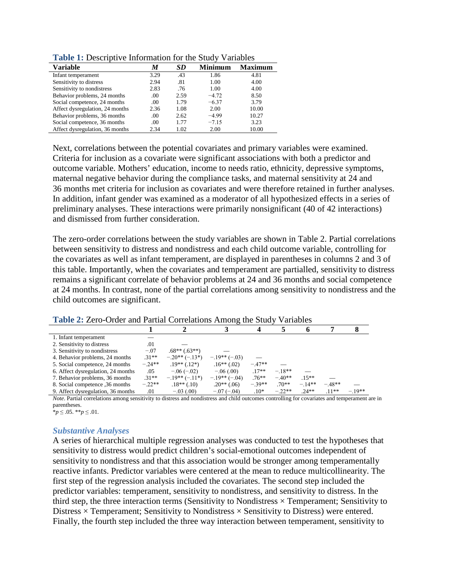| <b>Table 1:</b> Descriptive Information for the Study Variables |  |
|-----------------------------------------------------------------|--|
|-----------------------------------------------------------------|--|

| <b>Variable</b>                 | M    | SD   | <b>Minimum</b> | Maximum |
|---------------------------------|------|------|----------------|---------|
| Infant temperament              | 3.29 | .43  | 1.86           | 4.81    |
| Sensitivity to distress         | 2.94 | .81  | 1.00           | 4.00    |
| Sensitivity to nondistress      | 2.83 | .76  | 1.00           | 4.00    |
| Behavior problems, 24 months    | .00. | 2.59 | $-4.72$        | 8.50    |
| Social competence, 24 months    | .00. | 1.79 | $-6.37$        | 3.79    |
| Affect dysregulation, 24 months | 2.36 | 1.08 | 2.00           | 10.00   |
| Behavior problems, 36 months    | .00  | 2.62 | $-4.99$        | 10.27   |
| Social competence, 36 months    | .00. | 1.77 | $-7.15$        | 3.23    |
| Affect dysregulation, 36 months | 2.34 | 1.02 | 2.00           | 10.00   |

Next, correlations between the potential covariates and primary variables were examined. Criteria for inclusion as a covariate were significant associations with both a predictor and outcome variable. Mothers' education, income to needs ratio, ethnicity, depressive symptoms, maternal negative behavior during the compliance tasks, and maternal sensitivity at 24 and 36 months met criteria for inclusion as covariates and were therefore retained in further analyses. In addition, infant gender was examined as a moderator of all hypothesized effects in a series of preliminary analyses. These interactions were primarily nonsignificant (40 of 42 interactions) and dismissed from further consideration.

The zero-order correlations between the study variables are shown in Table 2. Partial correlations between sensitivity to distress and nondistress and each child outcome variable, controlling for the covariates as well as infant temperament, are displayed in parentheses in columns 2 and 3 of this table. Importantly, when the covariates and temperament are partialled, sensitivity to distress remains a significant correlate of behavior problems at 24 and 36 months and social competence at 24 months. In contrast, none of the partial correlations among sensitivity to nondistress and the child outcomes are significant.

| <b>Table 2.</b> ECTO OTGet and I arrial Correlations Funong the bracky variables |          |                 |                |          |         |         |          |         |  |  |
|----------------------------------------------------------------------------------|----------|-----------------|----------------|----------|---------|---------|----------|---------|--|--|
|                                                                                  |          |                 |                |          |         |         |          |         |  |  |
| 1. Infant temperament                                                            |          |                 |                |          |         |         |          |         |  |  |
| 2. Sensitivity to distress                                                       | .01      |                 |                |          |         |         |          |         |  |  |
| 3. Sensitivity to nondistress                                                    | $-.07$   | $.68**(.63**)$  |                |          |         |         |          |         |  |  |
| 4. Behavior problems, 24 months                                                  | $.31**$  | $-.20**(-.13*)$ | $-.19**(-.03)$ |          |         |         |          |         |  |  |
| 5. Social competence, 24 months                                                  | $-.24**$ | $.19**(.12*)$   | $.16**$ (.02)  | $-47**$  |         |         |          |         |  |  |
| 6. Affect dysregulation, 24 months                                               | .05      | $-.06(-.02)$    | $-.06(.00)$    | $.17**$  | $-18**$ |         |          |         |  |  |
| 7. Behavior problems, 36 months                                                  | $.31**$  | $-19**(-11*)$   | $-.19**(-.04)$ | $.76***$ | $-40**$ | $15***$ |          |         |  |  |
| 8. Social competence 36 months                                                   | $-.22**$ | $.18**(.10)$    | $.20**$ (.06)  | $-.39**$ | $.70**$ | $-14**$ | $-48**$  |         |  |  |
| 9. Affect dysregulation, 36 months                                               | .01      | $-.03(.00)$     | $-.07(-.04)$   | $.10*$   | $-22**$ | $.24**$ | $.11***$ | $-19**$ |  |  |
|                                                                                  |          |                 |                |          |         |         |          |         |  |  |

**Table 2:** Zero-Order and Partial Correlations Among the Study Variables

*Note*. Partial correlations among sensitivity to distress and nondistress and child outcomes controlling for covariates and temperament are in parentheses.

\**p* ≤ .05. \*\**p* ≤ .01.

## *Substantive Analyses*

A series of hierarchical multiple regression analyses was conducted to test the hypotheses that sensitivity to distress would predict children's social-emotional outcomes independent of sensitivity to nondistress and that this association would be stronger among temperamentally reactive infants. Predictor variables were centered at the mean to reduce multicollinearity. The first step of the regression analysis included the covariates. The second step included the predictor variables: temperament, sensitivity to nondistress, and sensitivity to distress. In the third step, the three interaction terms (Sensitivity to Nondistress  $\times$  Temperament; Sensitivity to Distress  $\times$  Temperament; Sensitivity to Nondistress  $\times$  Sensitivity to Distress) were entered. Finally, the fourth step included the three way interaction between temperament, sensitivity to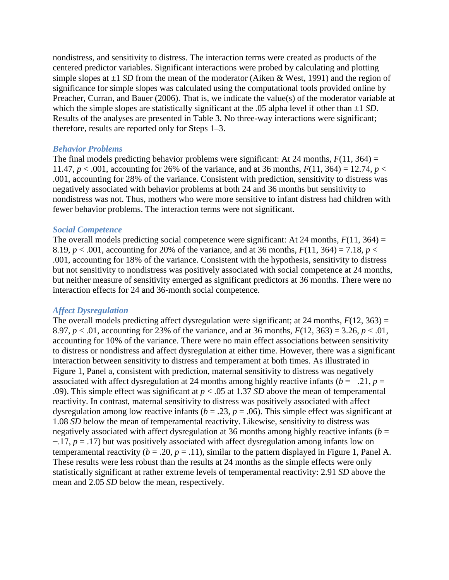nondistress, and sensitivity to distress. The interaction terms were created as products of the centered predictor variables. Significant interactions were probed by calculating and plotting simple slopes at  $\pm 1$  *SD* from the mean of the moderator (Aiken & West, 1991) and the region of significance for simple slopes was calculated using the computational tools provided online by Preacher, Curran, and Bauer (2006). That is, we indicate the value(s) of the moderator variable at which the simple slopes are statistically significant at the .05 alpha level if other than  $\pm 1$  *SD*. Results of the analyses are presented in Table 3. No three-way interactions were significant; therefore, results are reported only for Steps 1–3.

#### *Behavior Problems*

The final models predicting behavior problems were significant: At 24 months,  $F(11, 364) =$ 11.47,  $p < .001$ , accounting for 26% of the variance, and at 36 months,  $F(11, 364) = 12.74$ ,  $p <$ .001, accounting for 28% of the variance. Consistent with prediction, sensitivity to distress was negatively associated with behavior problems at both 24 and 36 months but sensitivity to nondistress was not. Thus, mothers who were more sensitive to infant distress had children with fewer behavior problems. The interaction terms were not significant.

### *Social Competence*

The overall models predicting social competence were significant: At 24 months,  $F(11, 364) =$ 8.19,  $p < .001$ , accounting for 20% of the variance, and at 36 months,  $F(11, 364) = 7.18$ ,  $p <$ .001, accounting for 18% of the variance. Consistent with the hypothesis, sensitivity to distress but not sensitivity to nondistress was positively associated with social competence at 24 months, but neither measure of sensitivity emerged as significant predictors at 36 months. There were no interaction effects for 24 and 36-month social competence.

#### *Affect Dysregulation*

The overall models predicting affect dysregulation were significant; at 24 months,  $F(12, 363) =$ 8.97, *p* < .01, accounting for 23% of the variance, and at 36 months, *F*(12, 363) = 3.26, *p* < .01, accounting for 10% of the variance. There were no main effect associations between sensitivity to distress or nondistress and affect dysregulation at either time. However, there was a significant interaction between sensitivity to distress and temperament at both times. As illustrated in Figure 1, Panel a, consistent with prediction, maternal sensitivity to distress was negatively associated with affect dysregulation at 24 months among highly reactive infants ( $b = -0.21$ ,  $p =$ .09). This simple effect was significant at *p* < .05 at 1.37 *SD* above the mean of temperamental reactivity. In contrast, maternal sensitivity to distress was positively associated with affect dysregulation among low reactive infants ( $b = .23$ ,  $p = .06$ ). This simple effect was significant at 1.08 *SD* below the mean of temperamental reactivity. Likewise, sensitivity to distress was negatively associated with affect dysregulation at 36 months among highly reactive infants ( $b =$ −.17, *p* = .17) but was positively associated with affect dysregulation among infants low on temperamental reactivity ( $b = .20$ ,  $p = .11$ ), similar to the pattern displayed in Figure 1, Panel A. These results were less robust than the results at 24 months as the simple effects were only statistically significant at rather extreme levels of temperamental reactivity: 2.91 *SD* above the mean and 2.05 *SD* below the mean, respectively.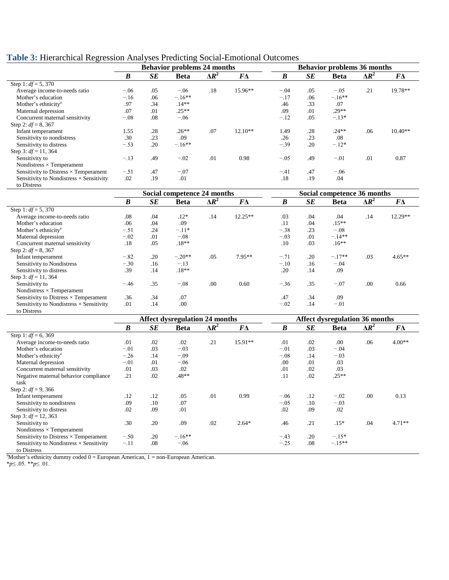| Table 3: Hierarchical Regression Analyses Predicting Social-Emotional Outcomes |  |  |  |
|--------------------------------------------------------------------------------|--|--|--|
|                                                                                |  |  |  |

|                                                 | <b>Behavior problems 24 months</b> |           |             |              | <b>Behavior problems 36 months</b> |        |           |             |              |           |
|-------------------------------------------------|------------------------------------|-----------|-------------|--------------|------------------------------------|--------|-----------|-------------|--------------|-----------|
|                                                 | B                                  | <b>SE</b> | <b>Beta</b> | $\Delta R^2$ | $F\Delta$                          | B      | <b>SE</b> | <b>Beta</b> | $\Delta R^2$ | $F\Delta$ |
| Step 1: $df = 5,370$                            |                                    |           |             |              |                                    |        |           |             |              |           |
| Average income-to-needs ratio                   | $-.06$                             | .05       | $-.06$      | .18          | 15.96**                            | $-.04$ | .05       | $-.05$      | .21          | 19.78**   |
| Mother's education                              | $-.16$                             | .06       | $-.16**$    |              |                                    | $-.17$ | .06       | $-16**$     |              |           |
| Mother's ethnicity <sup>a</sup>                 | .97                                | .34       | $.14**$     |              |                                    | .46    | .33       | .07         |              |           |
| Maternal depression                             | .07                                | .01       | $.25**$     |              |                                    | .09    | .01       | $.29**$     |              |           |
| Concurrent maternal sensitivity                 | $-.08$                             | .08       | $-.06$      |              |                                    | $-.12$ | .05       | $-.13*$     |              |           |
| Step 2: $df = 8,367$                            |                                    |           |             |              |                                    |        |           |             |              |           |
| Infant temperament                              | 1.55                               | .28       | $.26**$     | .07          | $12.10**$                          | 1.49   | .28       | $.24**$     | .06          | $10.40**$ |
| Sensitivity to nondistress                      | .30                                | .23       | .09         |              |                                    | .26    | .23       | .08         |              |           |
| Sensitivity to distress                         | $-.53$                             | .20       | $-.16**$    |              |                                    | $-.39$ | .20       | $-.12*$     |              |           |
| Step 3: $df = 11,364$                           |                                    |           |             |              |                                    |        |           |             |              |           |
| Sensitivity to                                  | $-.13$                             | .49       | $-.02$      | .01          | 0.98                               | $-.05$ | .49       | $-.01$      | .01          | 0.87      |
| Nondistress $\times$ Temperament                |                                    |           |             |              |                                    |        |           |             |              |           |
| Sensitivity to Distress $\times$ Temperament    | $-.51$                             | .47       | $-.07$      |              |                                    | $-.41$ | .47       | $-.06$      |              |           |
| Sensitivity to Nondistress $\times$ Sensitivity | .02                                | .19       | .01         |              |                                    | .18    | .19       | .04         |              |           |
| to Distress                                     |                                    |           |             |              |                                    |        |           |             |              |           |

|                                                                | Social competence 24 months |     |             |                | Social competence 36 months |        |     |             |                |           |
|----------------------------------------------------------------|-----------------------------|-----|-------------|----------------|-----------------------------|--------|-----|-------------|----------------|-----------|
|                                                                | B                           | SE  | <b>Beta</b> | $\Delta R^{2}$ | $F\Delta$                   | B      | SE  | <b>Beta</b> | $\Delta R^{2}$ | $F\Delta$ |
| Step 1: $df = 5,370$                                           |                             |     |             |                |                             |        |     |             |                |           |
| Average income-to-needs ratio                                  | .08                         | .04 | $.12*$      | .14            | $12.25**$                   | .03    | .04 | .04         | .14            | 12.29**   |
| Mother's education                                             | .06                         | .04 | .09         |                |                             | .11    | .04 | $.15**$     |                |           |
| Mother's ethnicity <sup>a</sup>                                | $-.51$                      | .24 | $-.11*$     |                |                             | $-.38$ | .23 | $-.08$      |                |           |
| Maternal depression                                            | $-.02$                      | .01 | $-.08$      |                |                             | $-.03$ | .01 | $-.14**$    |                |           |
| Concurrent maternal sensitivity                                | .18                         | .05 | $.18**$     |                |                             | .10    | .03 | $.16**$     |                |           |
| Step 2: $df = 8$ , 367                                         |                             |     |             |                |                             |        |     |             |                |           |
| Infant temperament                                             | $-.82$                      | .20 | $-.20**$    | .05            | 7.95**                      | $-.71$ | .20 | $-17**$     | .03            | $4.65**$  |
| Sensitivity to Nondistress                                     | $-.30$                      | .16 | $-.13$      |                |                             | $-.10$ | .16 | $-.04$      |                |           |
| Sensitivity to distress                                        | .39                         | .14 | $.18**$     |                |                             | .20    | .14 | .09         |                |           |
| Step 3: $df = 11,364$                                          |                             |     |             |                |                             |        |     |             |                |           |
| Sensitivity to                                                 | $-.46$                      | .35 | $-.08$      | .00            | 0.60                        | $-.36$ | .35 | $-.07$      | .00            | 0.66      |
| Nondistress $\times$ Temperament                               |                             |     |             |                |                             |        |     |             |                |           |
| Sensitivity to Distress $\times$ Temperament                   | .36                         | .34 | .07         |                |                             | .47    | .34 | .09         |                |           |
| Sensitivity to Nondistress $\times$ Sensitivity<br>to Distress | .01                         | .14 | .00         |                |                             | $-.02$ | .14 | $-.01$      |                |           |

|                                                                                             | <b>Affect dysregulation 24 months</b> |     |             |              |           | <b>Affect dysregulation 36 months</b> |         |             |              |           |
|---------------------------------------------------------------------------------------------|---------------------------------------|-----|-------------|--------------|-----------|---------------------------------------|---------|-------------|--------------|-----------|
|                                                                                             | $\bm{B}$                              | SE  | <b>Beta</b> | $\Delta R^2$ | $F\Delta$ | $\boldsymbol{B}$                      | SE      | <b>Beta</b> | $\Delta R^2$ | $F\Delta$ |
| Step 1: $df = 6,369$                                                                        |                                       |     |             |              |           |                                       |         |             |              |           |
| Average income-to-needs ratio                                                               | .01                                   | .02 | .02         | .21          | 15.91**   | .01                                   | .02     | .00         | .06          | $4.00**$  |
| Mother's education                                                                          | $-.01$                                | .03 | $-.03$      |              |           | $-.01$                                | .03     | $-.04$      |              |           |
| Mother's ethnicity <sup>a</sup>                                                             | $-.26$                                | .14 | $-.09$      |              |           | $-.08$                                | .14     | $-.03$      |              |           |
| Maternal depression                                                                         | $-.01$                                | .01 | $-.06$      |              |           | .00                                   | .01     | .03         |              |           |
| Concurrent maternal sensitivity                                                             | .01                                   | .03 | .02         |              |           | .01                                   | .02     | .03         |              |           |
| Negative maternal behavior compliance                                                       | .21                                   | .02 | $.48**$     |              |           | .11                                   | .02     | $.25**$     |              |           |
| task                                                                                        |                                       |     |             |              |           |                                       |         |             |              |           |
| Step 2: $df = 9,366$                                                                        |                                       |     |             |              |           |                                       |         |             |              |           |
| Infant temperament                                                                          | .12                                   | .12 | .05         | .01          | 0.99      | $-.06$                                | .12     | $-.02$      | .00          | 0.13      |
| Sensitivity to nondistress                                                                  | .09                                   | .10 | .07         |              |           | $-.05$                                | $.10\,$ | $-.03$      |              |           |
| Sensitivity to distress                                                                     | .02                                   | .09 | .01         |              |           | .02                                   | .09     | .02         |              |           |
| Step 3: $df = 12,363$                                                                       |                                       |     |             |              |           |                                       |         |             |              |           |
| Sensitivity to                                                                              | .30                                   | .20 | .09         | .02          | $2.64*$   | .46                                   | .21     | $.15*$      | .04          | $4.71**$  |
| Nondistress $\times$ Temperament                                                            |                                       |     |             |              |           |                                       |         |             |              |           |
| Sensitivity to Distress $\times$ Temperament                                                | $-.50$                                | .20 | $-16**$     |              |           | $-.43$                                | .20     | $-.15*$     |              |           |
| Sensitivity to Nondistress $\times$ Sensitivity                                             | $-.11$                                | .08 | $-.06$      |              |           | $-.25$                                | .08     | $-.15**$    |              |           |
| to Distress                                                                                 |                                       |     |             |              |           |                                       |         |             |              |           |
| $^{\circ}$ Mother's ethnicity dummy coded 0 = European American, 1 = non-European American. |                                       |     |             |              |           |                                       |         |             |              |           |

\**p*≤ .05. \*\**p*≤ .01.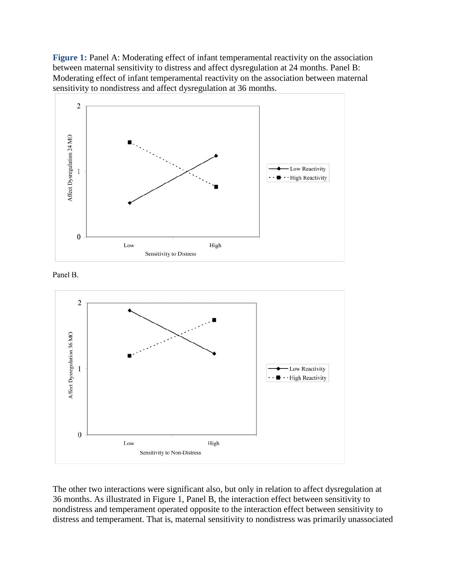**Figure 1:** Panel A: Moderating effect of infant temperamental reactivity on the association between maternal sensitivity to distress and affect dysregulation at 24 months. Panel B: Moderating effect of infant temperamental reactivity on the association between maternal sensitivity to nondistress and affect dysregulation at 36 months.







The other two interactions were significant also, but only in relation to affect dysregulation at 36 months. As illustrated in Figure 1, Panel B, the interaction effect between sensitivity to nondistress and temperament operated opposite to the interaction effect between sensitivity to distress and temperament. That is, maternal sensitivity to nondistress was primarily unassociated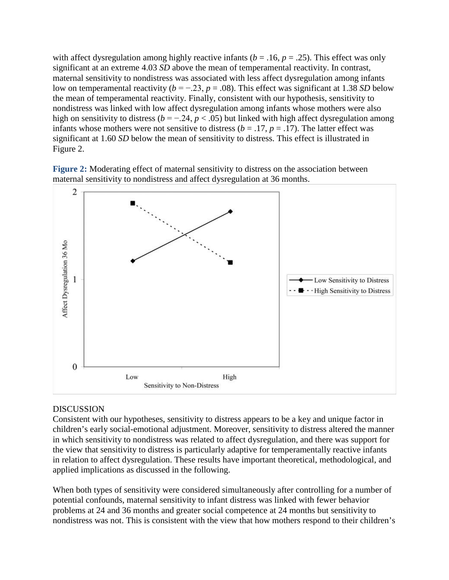with affect dysregulation among highly reactive infants ( $b = .16$ ,  $p = .25$ ). This effect was only significant at an extreme 4.03 *SD* above the mean of temperamental reactivity. In contrast, maternal sensitivity to nondistress was associated with less affect dysregulation among infants low on temperamental reactivity (*b* = −.23, *p* = .08). This effect was significant at 1.38 *SD* below the mean of temperamental reactivity. Finally, consistent with our hypothesis, sensitivity to nondistress was linked with low affect dysregulation among infants whose mothers were also high on sensitivity to distress ( $b = -0.24$ ,  $p < 0.05$ ) but linked with high affect dysregulation among infants whose mothers were not sensitive to distress ( $b = .17$ ,  $p = .17$ ). The latter effect was significant at 1.60 *SD* below the mean of sensitivity to distress. This effect is illustrated in Figure 2.

**Figure 2:** Moderating effect of maternal sensitivity to distress on the association between maternal sensitivity to nondistress and affect dysregulation at 36 months.



# DISCUSSION

Consistent with our hypotheses, sensitivity to distress appears to be a key and unique factor in children's early social-emotional adjustment. Moreover, sensitivity to distress altered the manner in which sensitivity to nondistress was related to affect dysregulation, and there was support for the view that sensitivity to distress is particularly adaptive for temperamentally reactive infants in relation to affect dysregulation. These results have important theoretical, methodological, and applied implications as discussed in the following.

When both types of sensitivity were considered simultaneously after controlling for a number of potential confounds, maternal sensitivity to infant distress was linked with fewer behavior problems at 24 and 36 months and greater social competence at 24 months but sensitivity to nondistress was not. This is consistent with the view that how mothers respond to their children's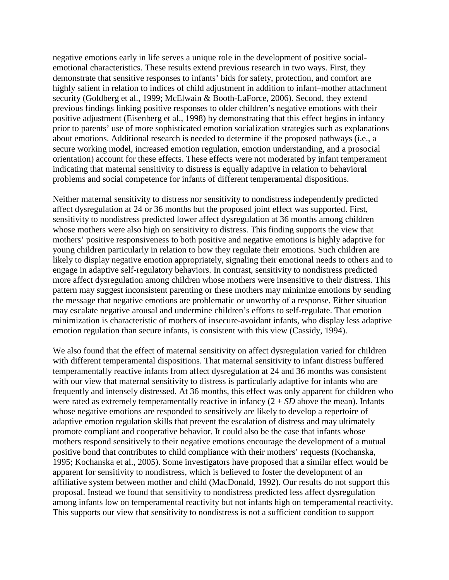negative emotions early in life serves a unique role in the development of positive socialemotional characteristics. These results extend previous research in two ways. First, they demonstrate that sensitive responses to infants' bids for safety, protection, and comfort are highly salient in relation to indices of child adjustment in addition to infant–mother attachment security (Goldberg et al., 1999; McElwain & Booth-LaForce, 2006). Second, they extend previous findings linking positive responses to older children's negative emotions with their positive adjustment (Eisenberg et al., 1998) by demonstrating that this effect begins in infancy prior to parents' use of more sophisticated emotion socialization strategies such as explanations about emotions. Additional research is needed to determine if the proposed pathways (i.e., a secure working model, increased emotion regulation, emotion understanding, and a prosocial orientation) account for these effects. These effects were not moderated by infant temperament indicating that maternal sensitivity to distress is equally adaptive in relation to behavioral problems and social competence for infants of different temperamental dispositions.

Neither maternal sensitivity to distress nor sensitivity to nondistress independently predicted affect dysregulation at 24 or 36 months but the proposed joint effect was supported. First, sensitivity to nondistress predicted lower affect dysregulation at 36 months among children whose mothers were also high on sensitivity to distress. This finding supports the view that mothers' positive responsiveness to both positive and negative emotions is highly adaptive for young children particularly in relation to how they regulate their emotions. Such children are likely to display negative emotion appropriately, signaling their emotional needs to others and to engage in adaptive self-regulatory behaviors. In contrast, sensitivity to nondistress predicted more affect dysregulation among children whose mothers were insensitive to their distress. This pattern may suggest inconsistent parenting or these mothers may minimize emotions by sending the message that negative emotions are problematic or unworthy of a response. Either situation may escalate negative arousal and undermine children's efforts to self-regulate. That emotion minimization is characteristic of mothers of insecure-avoidant infants, who display less adaptive emotion regulation than secure infants, is consistent with this view (Cassidy, 1994).

We also found that the effect of maternal sensitivity on affect dysregulation varied for children with different temperamental dispositions. That maternal sensitivity to infant distress buffered temperamentally reactive infants from affect dysregulation at 24 and 36 months was consistent with our view that maternal sensitivity to distress is particularly adaptive for infants who are frequently and intensely distressed. At 36 months, this effect was only apparent for children who were rated as extremely temperamentally reactive in infancy (2 + *SD* above the mean). Infants whose negative emotions are responded to sensitively are likely to develop a repertoire of adaptive emotion regulation skills that prevent the escalation of distress and may ultimately promote compliant and cooperative behavior. It could also be the case that infants whose mothers respond sensitively to their negative emotions encourage the development of a mutual positive bond that contributes to child compliance with their mothers' requests (Kochanska, 1995; Kochanska et al., 2005). Some investigators have proposed that a similar effect would be apparent for sensitivity to nondistress, which is believed to foster the development of an affiliative system between mother and child (MacDonald, 1992). Our results do not support this proposal. Instead we found that sensitivity to nondistress predicted less affect dysregulation among infants low on temperamental reactivity but not infants high on temperamental reactivity. This supports our view that sensitivity to nondistress is not a sufficient condition to support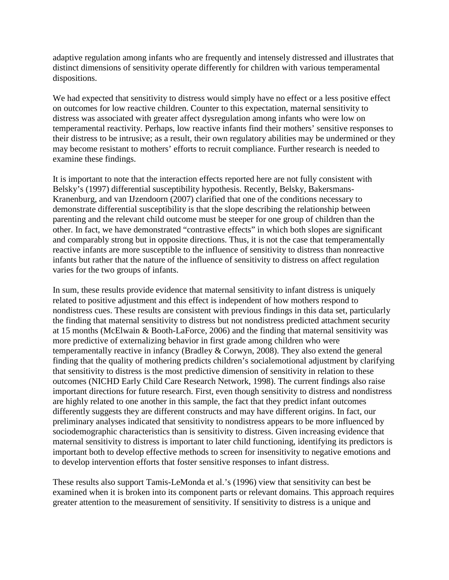adaptive regulation among infants who are frequently and intensely distressed and illustrates that distinct dimensions of sensitivity operate differently for children with various temperamental dispositions.

We had expected that sensitivity to distress would simply have no effect or a less positive effect on outcomes for low reactive children. Counter to this expectation, maternal sensitivity to distress was associated with greater affect dysregulation among infants who were low on temperamental reactivity. Perhaps, low reactive infants find their mothers' sensitive responses to their distress to be intrusive; as a result, their own regulatory abilities may be undermined or they may become resistant to mothers' efforts to recruit compliance. Further research is needed to examine these findings.

It is important to note that the interaction effects reported here are not fully consistent with Belsky's (1997) differential susceptibility hypothesis. Recently, Belsky, Bakersmans-Kranenburg, and van IJzendoorn (2007) clarified that one of the conditions necessary to demonstrate differential susceptibility is that the slope describing the relationship between parenting and the relevant child outcome must be steeper for one group of children than the other. In fact, we have demonstrated "contrastive effects" in which both slopes are significant and comparably strong but in opposite directions. Thus, it is not the case that temperamentally reactive infants are more susceptible to the influence of sensitivity to distress than nonreactive infants but rather that the nature of the influence of sensitivity to distress on affect regulation varies for the two groups of infants.

In sum, these results provide evidence that maternal sensitivity to infant distress is uniquely related to positive adjustment and this effect is independent of how mothers respond to nondistress cues. These results are consistent with previous findings in this data set, particularly the finding that maternal sensitivity to distress but not nondistress predicted attachment security at 15 months (McElwain & Booth-LaForce, 2006) and the finding that maternal sensitivity was more predictive of externalizing behavior in first grade among children who were temperamentally reactive in infancy (Bradley & Corwyn, 2008). They also extend the general finding that the quality of mothering predicts children's socialemotional adjustment by clarifying that sensitivity to distress is the most predictive dimension of sensitivity in relation to these outcomes (NICHD Early Child Care Research Network, 1998). The current findings also raise important directions for future research. First, even though sensitivity to distress and nondistress are highly related to one another in this sample, the fact that they predict infant outcomes differently suggests they are different constructs and may have different origins. In fact, our preliminary analyses indicated that sensitivity to nondistress appears to be more influenced by sociodemographic characteristics than is sensitivity to distress. Given increasing evidence that maternal sensitivity to distress is important to later child functioning, identifying its predictors is important both to develop effective methods to screen for insensitivity to negative emotions and to develop intervention efforts that foster sensitive responses to infant distress.

These results also support Tamis-LeMonda et al.'s (1996) view that sensitivity can best be examined when it is broken into its component parts or relevant domains. This approach requires greater attention to the measurement of sensitivity. If sensitivity to distress is a unique and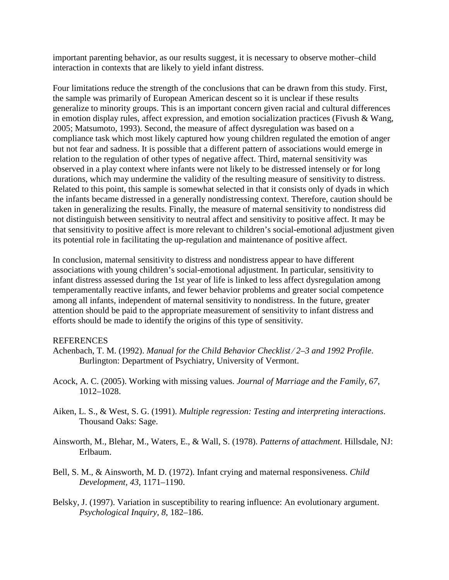important parenting behavior, as our results suggest, it is necessary to observe mother–child interaction in contexts that are likely to yield infant distress.

Four limitations reduce the strength of the conclusions that can be drawn from this study. First, the sample was primarily of European American descent so it is unclear if these results generalize to minority groups. This is an important concern given racial and cultural differences in emotion display rules, affect expression, and emotion socialization practices (Fivush & Wang, 2005; Matsumoto, 1993). Second, the measure of affect dysregulation was based on a compliance task which most likely captured how young children regulated the emotion of anger but not fear and sadness. It is possible that a different pattern of associations would emerge in relation to the regulation of other types of negative affect. Third, maternal sensitivity was observed in a play context where infants were not likely to be distressed intensely or for long durations, which may undermine the validity of the resulting measure of sensitivity to distress. Related to this point, this sample is somewhat selected in that it consists only of dyads in which the infants became distressed in a generally nondistressing context. Therefore, caution should be taken in generalizing the results. Finally, the measure of maternal sensitivity to nondistress did not distinguish between sensitivity to neutral affect and sensitivity to positive affect. It may be that sensitivity to positive affect is more relevant to children's social-emotional adjustment given its potential role in facilitating the up-regulation and maintenance of positive affect.

In conclusion, maternal sensitivity to distress and nondistress appear to have different associations with young children's social-emotional adjustment. In particular, sensitivity to infant distress assessed during the 1st year of life is linked to less affect dysregulation among temperamentally reactive infants, and fewer behavior problems and greater social competence among all infants, independent of maternal sensitivity to nondistress. In the future, greater attention should be paid to the appropriate measurement of sensitivity to infant distress and efforts should be made to identify the origins of this type of sensitivity.

#### **REFERENCES**

- Achenbach, T. M. (1992). *Manual for the Child Behavior Checklist ⁄ 2–3 and 1992 Profile*. Burlington: Department of Psychiatry, University of Vermont.
- Acock, A. C. (2005). Working with missing values. *Journal of Marriage and the Family, 67*, 1012–1028.
- Aiken, L. S., & West, S. G. (1991). *Multiple regression: Testing and interpreting interactions*. Thousand Oaks: Sage.
- Ainsworth, M., Blehar, M., Waters, E., & Wall, S. (1978). *Patterns of attachment*. Hillsdale, NJ: Erlbaum.
- Bell, S. M., & Ainsworth, M. D. (1972). Infant crying and maternal responsiveness. *Child Development, 43*, 1171–1190.
- Belsky, J. (1997). Variation in susceptibility to rearing influence: An evolutionary argument. *Psychological Inquiry, 8*, 182–186.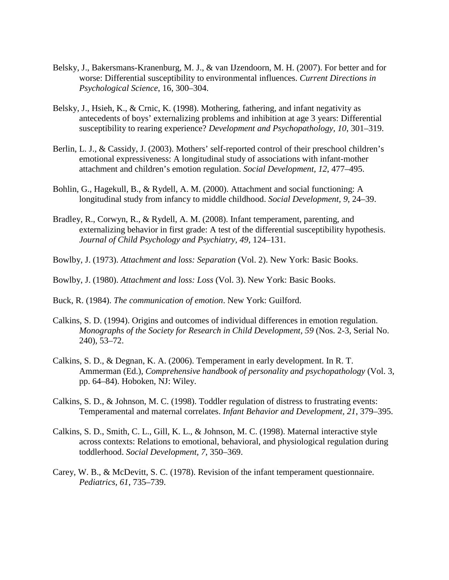- Belsky, J., Bakersmans-Kranenburg, M. J., & van IJzendoorn, M. H. (2007). For better and for worse: Differential susceptibility to environmental influences. *Current Directions in Psychological Science*, 16, 300–304.
- Belsky, J., Hsieh, K., & Crnic, K. (1998). Mothering, fathering, and infant negativity as antecedents of boys' externalizing problems and inhibition at age 3 years: Differential susceptibility to rearing experience? *Development and Psychopathology, 10*, 301–319.
- Berlin, L. J., & Cassidy, J. (2003). Mothers' self-reported control of their preschool children's emotional expressiveness: A longitudinal study of associations with infant-mother attachment and children's emotion regulation. *Social Development, 12*, 477–495.
- Bohlin, G., Hagekull, B., & Rydell, A. M. (2000). Attachment and social functioning: A longitudinal study from infancy to middle childhood. *Social Development, 9*, 24–39.
- Bradley, R., Corwyn, R., & Rydell, A. M. (2008). Infant temperament, parenting, and externalizing behavior in first grade: A test of the differential susceptibility hypothesis. *Journal of Child Psychology and Psychiatry, 49*, 124–131.
- Bowlby, J. (1973). *Attachment and loss: Separation* (Vol. 2). New York: Basic Books.
- Bowlby, J. (1980). *Attachment and loss: Loss* (Vol. 3). New York: Basic Books.
- Buck, R. (1984). *The communication of emotion*. New York: Guilford.
- Calkins, S. D. (1994). Origins and outcomes of individual differences in emotion regulation. *Monographs of the Society for Research in Child Development, 59* (Nos. 2-3, Serial No. 240), 53–72.
- Calkins, S. D., & Degnan, K. A. (2006). Temperament in early development. In R. T. Ammerman (Ed.), *Comprehensive handbook of personality and psychopathology* (Vol. 3, pp. 64–84). Hoboken, NJ: Wiley.
- Calkins, S. D., & Johnson, M. C. (1998). Toddler regulation of distress to frustrating events: Temperamental and maternal correlates. *Infant Behavior and Development, 21*, 379–395.
- Calkins, S. D., Smith, C. L., Gill, K. L., & Johnson, M. C. (1998). Maternal interactive style across contexts: Relations to emotional, behavioral, and physiological regulation during toddlerhood. *Social Development, 7*, 350–369.
- Carey, W. B., & McDevitt, S. C. (1978). Revision of the infant temperament questionnaire. *Pediatrics, 61*, 735–739.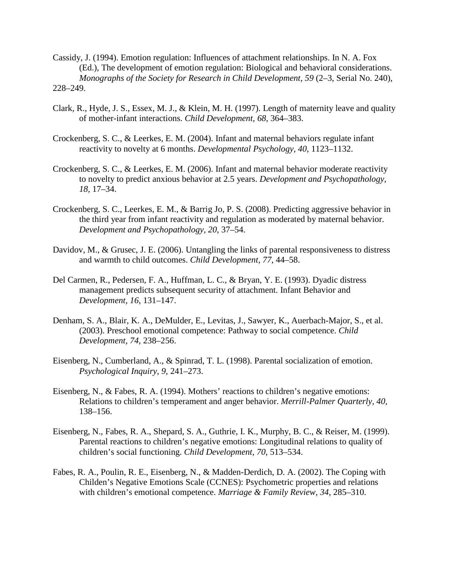Cassidy, J. (1994). Emotion regulation: Influences of attachment relationships. In N. A. Fox (Ed.), The development of emotion regulation: Biological and behavioral considerations. *Monographs of the Society for Research in Child Development, 59* (2–3, Serial No. 240), 228–249.

- Clark, R., Hyde, J. S., Essex, M. J., & Klein, M. H. (1997). Length of maternity leave and quality of mother-infant interactions. *Child Development, 68*, 364–383.
- Crockenberg, S. C., & Leerkes, E. M. (2004). Infant and maternal behaviors regulate infant reactivity to novelty at 6 months. *Developmental Psychology, 40*, 1123–1132.
- Crockenberg, S. C., & Leerkes, E. M. (2006). Infant and maternal behavior moderate reactivity to novelty to predict anxious behavior at 2.5 years. *Development and Psychopathology, 18*, 17–34.
- Crockenberg, S. C., Leerkes, E. M., & Barrig Jo, P. S. (2008). Predicting aggressive behavior in the third year from infant reactivity and regulation as moderated by maternal behavior. *Development and Psychopathology, 20*, 37–54.
- Davidov, M., & Grusec, J. E. (2006). Untangling the links of parental responsiveness to distress and warmth to child outcomes. *Child Development, 77*, 44–58.
- Del Carmen, R., Pedersen, F. A., Huffman, L. C., & Bryan, Y. E. (1993). Dyadic distress management predicts subsequent security of attachment. Infant Behavior and *Development, 16*, 131–147.
- Denham, S. A., Blair, K. A., DeMulder, E., Levitas, J., Sawyer, K., Auerbach-Major, S., et al. (2003). Preschool emotional competence: Pathway to social competence. *Child Development, 74*, 238–256.
- Eisenberg, N., Cumberland, A., & Spinrad, T. L. (1998). Parental socialization of emotion. *Psychological Inquiry, 9*, 241–273.
- Eisenberg, N., & Fabes, R. A. (1994). Mothers' reactions to children's negative emotions: Relations to children's temperament and anger behavior. *Merrill-Palmer Quarterly, 40*, 138–156.
- Eisenberg, N., Fabes, R. A., Shepard, S. A., Guthrie, I. K., Murphy, B. C., & Reiser, M. (1999). Parental reactions to children's negative emotions: Longitudinal relations to quality of children's social functioning. *Child Development, 70*, 513–534.
- Fabes, R. A., Poulin, R. E., Eisenberg, N., & Madden-Derdich, D. A. (2002). The Coping with Childen's Negative Emotions Scale (CCNES): Psychometric properties and relations with children's emotional competence. *Marriage & Family Review, 34*, 285–310.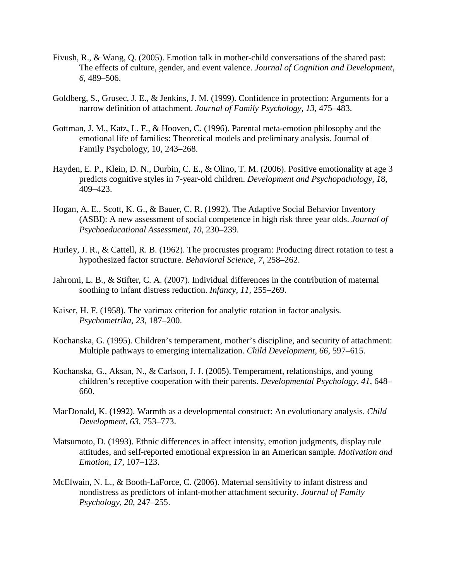- Fivush, R., & Wang, Q. (2005). Emotion talk in mother-child conversations of the shared past: The effects of culture, gender, and event valence. *Journal of Cognition and Development, 6*, 489–506.
- Goldberg, S., Grusec, J. E., & Jenkins, J. M. (1999). Confidence in protection: Arguments for a narrow definition of attachment. *Journal of Family Psychology, 13*, 475–483.
- Gottman, J. M., Katz, L. F., & Hooven, C. (1996). Parental meta-emotion philosophy and the emotional life of families: Theoretical models and preliminary analysis. Journal of Family Psychology, 10, 243–268.
- Hayden, E. P., Klein, D. N., Durbin, C. E., & Olino, T. M. (2006). Positive emotionality at age 3 predicts cognitive styles in 7-year-old children. *Development and Psychopathology, 1*8, 409–423.
- Hogan, A. E., Scott, K. G., & Bauer, C. R. (1992). The Adaptive Social Behavior Inventory (ASBI): A new assessment of social competence in high risk three year olds. *Journal of Psychoeducational Assessment, 10*, 230–239.
- Hurley, J. R., & Cattell, R. B. (1962). The procrustes program: Producing direct rotation to test a hypothesized factor structure. *Behavioral Science, 7*, 258–262.
- Jahromi, L. B., & Stifter, C. A. (2007). Individual differences in the contribution of maternal soothing to infant distress reduction. *Infancy, 11*, 255–269.
- Kaiser, H. F. (1958). The varimax criterion for analytic rotation in factor analysis. *Psychometrika, 23*, 187–200.
- Kochanska, G. (1995). Children's temperament, mother's discipline, and security of attachment: Multiple pathways to emerging internalization. *Child Development, 66*, 597–615.
- Kochanska, G., Aksan, N., & Carlson, J. J. (2005). Temperament, relationships, and young children's receptive cooperation with their parents. *Developmental Psychology, 41*, 648– 660.
- MacDonald, K. (1992). Warmth as a developmental construct: An evolutionary analysis. *Child Development, 63*, 753–773.
- Matsumoto, D. (1993). Ethnic differences in affect intensity, emotion judgments, display rule attitudes, and self-reported emotional expression in an American sample. *Motivation and Emotion, 17*, 107–123.
- McElwain, N. L., & Booth-LaForce, C. (2006). Maternal sensitivity to infant distress and nondistress as predictors of infant-mother attachment security. *Journal of Family Psychology, 20*, 247–255.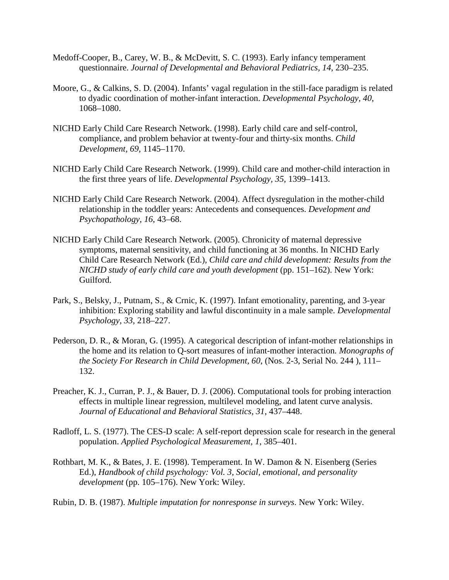- Medoff-Cooper, B., Carey, W. B., & McDevitt, S. C. (1993). Early infancy temperament questionnaire. *Journal of Developmental and Behavioral Pediatrics, 14*, 230–235.
- Moore, G., & Calkins, S. D. (2004). Infants' vagal regulation in the still-face paradigm is related to dyadic coordination of mother-infant interaction. *Developmental Psychology, 40*, 1068–1080.
- NICHD Early Child Care Research Network. (1998). Early child care and self-control, compliance, and problem behavior at twenty-four and thirty-six months. *Child Development, 69*, 1145–1170.
- NICHD Early Child Care Research Network. (1999). Child care and mother-child interaction in the first three years of life. *Developmental Psychology, 35*, 1399–1413.
- NICHD Early Child Care Research Network. (2004). Affect dysregulation in the mother-child relationship in the toddler years: Antecedents and consequences. *Development and Psychopathology, 16*, 43–68.
- NICHD Early Child Care Research Network. (2005). Chronicity of maternal depressive symptoms, maternal sensitivity, and child functioning at 36 months. In NICHD Early Child Care Research Network (Ed.), *Child care and child development: Results from the NICHD study of early child care and youth development* (pp. 151–162). New York: Guilford.
- Park, S., Belsky, J., Putnam, S., & Crnic, K. (1997). Infant emotionality, parenting, and 3-year inhibition: Exploring stability and lawful discontinuity in a male sample. *Developmental Psychology, 33*, 218–227.
- Pederson, D. R., & Moran, G. (1995). A categorical description of infant-mother relationships in the home and its relation to Q-sort measures of infant-mother interaction*. Monographs of the Society For Research in Child Development, 60*, (Nos. 2-3, Serial No. 244 ), 111– 132.
- Preacher, K. J., Curran, P. J., & Bauer, D. J. (2006). Computational tools for probing interaction effects in multiple linear regression, multilevel modeling, and latent curve analysis. *Journal of Educational and Behavioral Statistics, 31*, 437–448.
- Radloff, L. S. (1977). The CES-D scale: A self-report depression scale for research in the general population. *Applied Psychological Measurement, 1*, 385–401.
- Rothbart, M. K., & Bates, J. E. (1998). Temperament. In W. Damon & N. Eisenberg (Series Ed.), *Handbook of child psychology: Vol. 3, Social, emotional, and personality development* (pp. 105–176). New York: Wiley.
- Rubin, D. B. (1987). *Multiple imputation for nonresponse in surveys*. New York: Wiley.